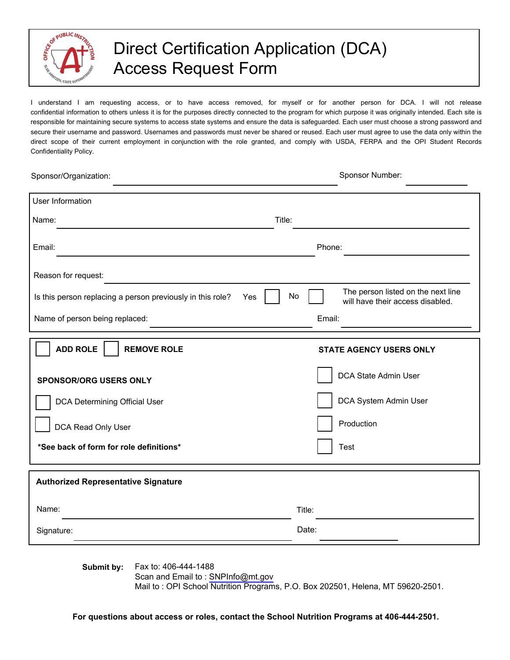

## Direct Certification Application (DCA) Access Request Form

I understand I am requesting access, or to have access removed, for myself or for another person for DCA. I will not release confidential information to others unless it is for the purposes directly connected to the program for which purpose it was originally intended. Each site is responsible for maintaining secure systems to access state systems and ensure the data is safeguarded. Each user must choose a strong password and secure their username and password. Usernames and passwords must never be shared or reused. Each user must agree to use the data only within the direct scope of their current employment in conjunction with the role granted, and comply with USDA, FERPA and the OPI Student Records Confidentiality Policy.

| Sponsor/Organization:                                      | Sponsor Number:                                                                     |
|------------------------------------------------------------|-------------------------------------------------------------------------------------|
| <b>User Information</b>                                    |                                                                                     |
| Name:                                                      | Title:                                                                              |
| Email:                                                     | Phone:                                                                              |
| Reason for request:                                        |                                                                                     |
| Is this person replacing a person previously in this role? | The person listed on the next line<br>No<br>Yes<br>will have their access disabled. |
| Name of person being replaced:                             | Email:                                                                              |
| <b>ADD ROLE</b><br><b>REMOVE ROLE</b>                      | <b>STATE AGENCY USERS ONLY</b>                                                      |
| <b>SPONSOR/ORG USERS ONLY</b>                              | DCA State Admin User                                                                |
| DCA Determining Official User                              | DCA System Admin User                                                               |
| DCA Read Only User                                         | Production                                                                          |
| *See back of form for role definitions*                    | <b>Test</b>                                                                         |
| <b>Authorized Representative Signature</b>                 |                                                                                     |
| Name:                                                      | Title:                                                                              |
| Signature:                                                 | Date:                                                                               |

**Submit by:** Fax to: 406-444-1488

Scan and Email to : [SNPInfo@mt.gov](mailto:SNPInfo@mt.gov)

Mail to : OPI School Nutrition Programs, P.O. Box 202501, Helena, MT 59620-2501.

**For questions about access or roles, contact the School Nutrition Programs at 406-444-2501.**